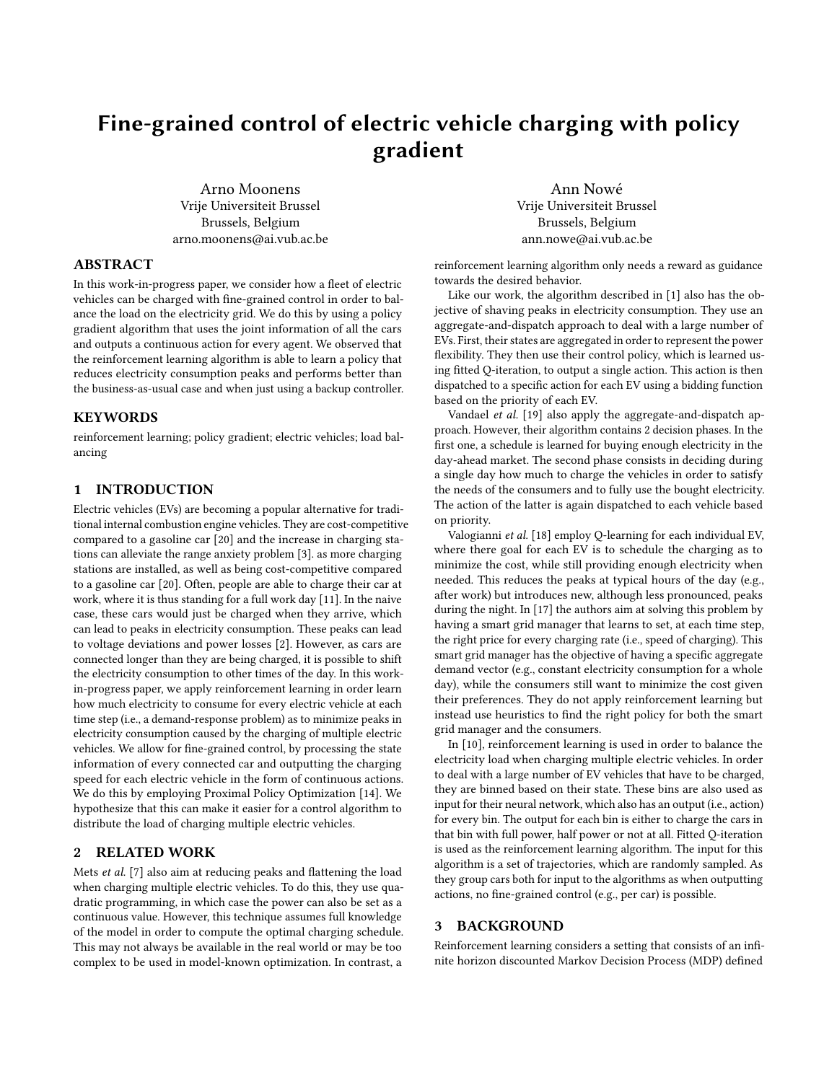# Fine-grained control of electric vehicle charging with policy gradient

Arno Moonens Vrije Universiteit Brussel Brussels, Belgium arno.moonens@ai.vub.ac.be

Ann Nowé Vrije Universiteit Brussel Brussels, Belgium ann.nowe@ai.vub.ac.be

# ABSTRACT

In this work-in-progress paper, we consider how a fleet of electric vehicles can be charged with fine-grained control in order to balance the load on the electricity grid. We do this by using a policy gradient algorithm that uses the joint information of all the cars and outputs a continuous action for every agent. We observed that the reinforcement learning algorithm is able to learn a policy that reduces electricity consumption peaks and performs better than the business-as-usual case and when just using a backup controller.

## **KEYWORDS**

reinforcement learning; policy gradient; electric vehicles; load balancing

## 1 INTRODUCTION

Electric vehicles (EVs) are becoming a popular alternative for traditional internal combustion engine vehicles. They are cost-competitive compared to a gasoline car [\[20\]](#page-4-0) and the increase in charging stations can alleviate the range anxiety problem [\[3\]](#page-3-0). as more charging stations are installed, as well as being cost-competitive compared to a gasoline car [\[20\]](#page-4-0). Often, people are able to charge their car at work, where it is thus standing for a full work day [\[11\]](#page-3-1). In the naive case, these cars would just be charged when they arrive, which can lead to peaks in electricity consumption. These peaks can lead to voltage deviations and power losses [\[2\]](#page-3-2). However, as cars are connected longer than they are being charged, it is possible to shift the electricity consumption to other times of the day. In this workin-progress paper, we apply reinforcement learning in order learn how much electricity to consume for every electric vehicle at each time step (i.e., a demand-response problem) as to minimize peaks in electricity consumption caused by the charging of multiple electric vehicles. We allow for fine-grained control, by processing the state information of every connected car and outputting the charging speed for each electric vehicle in the form of continuous actions. We do this by employing Proximal Policy Optimization [\[14\]](#page-3-3). We hypothesize that this can make it easier for a control algorithm to distribute the load of charging multiple electric vehicles.

# 2 RELATED WORK

Mets et al. [\[7\]](#page-3-4) also aim at reducing peaks and flattening the load when charging multiple electric vehicles. To do this, they use quadratic programming, in which case the power can also be set as a continuous value. However, this technique assumes full knowledge of the model in order to compute the optimal charging schedule. This may not always be available in the real world or may be too complex to be used in model-known optimization. In contrast, a

reinforcement learning algorithm only needs a reward as guidance towards the desired behavior.

Like our work, the algorithm described in [\[1\]](#page-3-5) also has the objective of shaving peaks in electricity consumption. They use an aggregate-and-dispatch approach to deal with a large number of EVs. First, their states are aggregated in order to represent the power flexibility. They then use their control policy, which is learned using fitted Q-iteration, to output a single action. This action is then dispatched to a specific action for each EV using a bidding function based on the priority of each EV.

Vandael et al. [\[19\]](#page-3-6) also apply the aggregate-and-dispatch approach. However, their algorithm contains 2 decision phases. In the first one, a schedule is learned for buying enough electricity in the day-ahead market. The second phase consists in deciding during a single day how much to charge the vehicles in order to satisfy the needs of the consumers and to fully use the bought electricity. The action of the latter is again dispatched to each vehicle based on priority.

Valogianni et al. [\[18\]](#page-3-7) employ Q-learning for each individual EV, where there goal for each EV is to schedule the charging as to minimize the cost, while still providing enough electricity when needed. This reduces the peaks at typical hours of the day (e.g., after work) but introduces new, although less pronounced, peaks during the night. In [\[17\]](#page-3-8) the authors aim at solving this problem by having a smart grid manager that learns to set, at each time step, the right price for every charging rate (i.e., speed of charging). This smart grid manager has the objective of having a specific aggregate demand vector (e.g., constant electricity consumption for a whole day), while the consumers still want to minimize the cost given their preferences. They do not apply reinforcement learning but instead use heuristics to find the right policy for both the smart grid manager and the consumers.

In [\[10\]](#page-3-9), reinforcement learning is used in order to balance the electricity load when charging multiple electric vehicles. In order to deal with a large number of EV vehicles that have to be charged, they are binned based on their state. These bins are also used as input for their neural network, which also has an output (i.e., action) for every bin. The output for each bin is either to charge the cars in that bin with full power, half power or not at all. Fitted Q-iteration is used as the reinforcement learning algorithm. The input for this algorithm is a set of trajectories, which are randomly sampled. As they group cars both for input to the algorithms as when outputting actions, no fine-grained control (e.g., per car) is possible.

#### 3 BACKGROUND

Reinforcement learning considers a setting that consists of an infinite horizon discounted Markov Decision Process (MDP) defined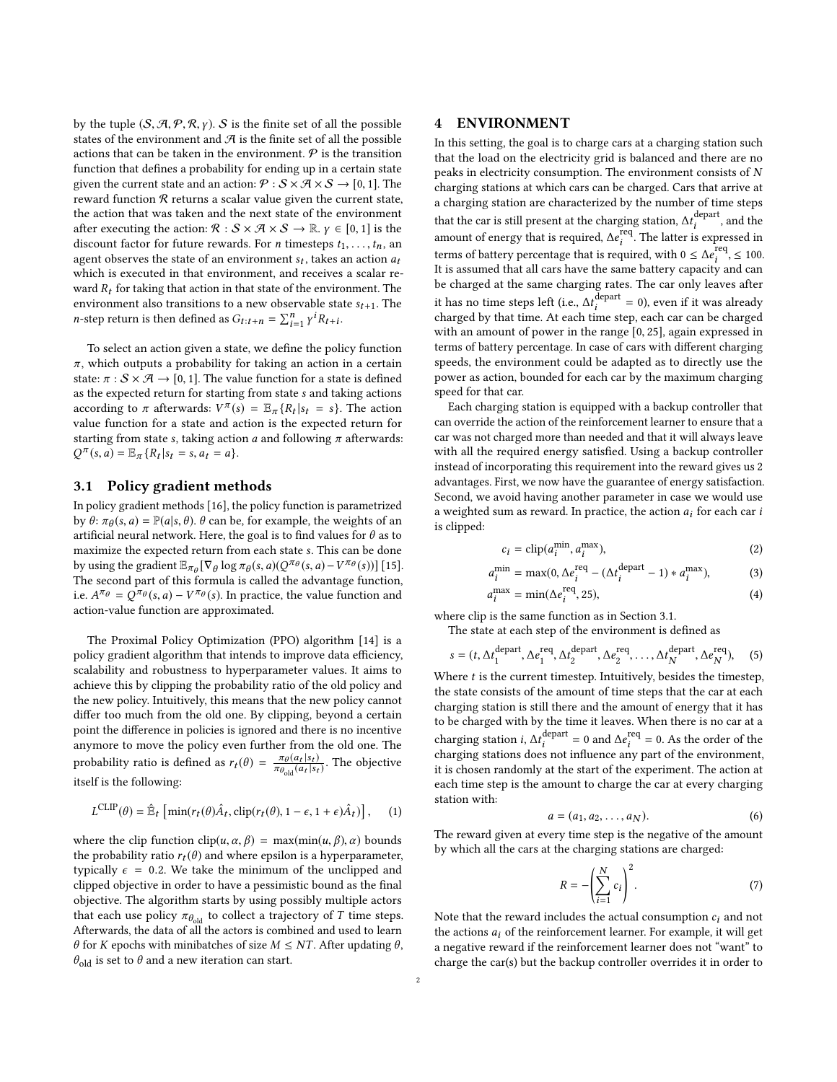by the tuple  $(S, A, P, R, \gamma)$ . S is the finite set of all the possible states of the environment and  $\mathcal A$  is the finite set of all the possible actions that can be taken in the environment.  $P$  is the transition function that defines a probability for ending up in a certain state given the current state and an action:  $\mathcal{P}: \mathcal{S} \times \mathcal{A} \times \mathcal{S} \rightarrow [0, 1]$ . The reward function  $R$  returns a scalar value given the current state, the action that was taken and the next state of the environment after executing the action:  $\mathcal{R}: \mathcal{S} \times \mathcal{A} \times \mathcal{S} \to \mathbb{R}, \gamma \in [0,1]$  is the discount factor for future rewards. For *n* timesteps  $t_1, \ldots, t_n$ , an agent observes the state of an environment  $s_t$ , takes an action  $a_t$ <br>which is executed in that environment, and receives a scelar rewhich is executed in that environment, and receives a scalar reward  $R_t$  for taking that action in that state of the environment. The environment also transitions to a new observable state  $s_{t+1}$ . The *n*-step return is then defined as  $G_{t:t+n} = \sum_{i=1}^{n} \gamma^{i} R_{t+i}$ .

To select an action given a state, we define the policy function  $\pi$ , which outputs a probability for taking an action in a certain state:  $\pi : S \times \mathcal{A} \rightarrow [0, 1]$ . The value function for a state is defined as the expected return for starting from state s and taking actions according to  $\pi$  afterwards:  $V^{\pi}(s) = \mathbb{E}_{\pi} \{R_t | s_t = s\}$ . The action value function for a state and action is the expected return for starting from state s, taking action  $a$  and following  $\pi$  afterwards:  $Q^{\pi}(s, a) = \mathbb{E}_{\pi} \{ R_t | s_t = s, a_t = a \}.$ 

## <span id="page-1-0"></span>3.1 Policy gradient methods

In policy gradient methods [\[16\]](#page-3-10), the policy function is parametrized by  $\theta$ :  $\pi_{\theta}(s, a) = \mathbb{P}(a|s, \theta)$ .  $\theta$  can be, for example, the weights of an artificial neural network. Here the goal is to find values for  $\theta$  as to artificial neural network. Here, the goal is to find values for  $\theta$  as to maximize the expected return from each state s. This can be done by using the gradient  $\mathbb{E}_{\pi_{\theta}}[\nabla_{\theta} \log \pi_{\theta}(s, a)(Q^{\pi_{\theta}}(s, a) - V^{\pi_{\theta}}(s))]$  [\[15\]](#page-3-11).<br>The second part of this formula is called the advantage function The second part of this formula is called the advantage function, i.e.  $A^{\pi_{\theta}} = Q^{\pi_{\theta}}(s, a) - V^{\pi_{\theta}}(s)$ . In practice, the value function and action value function are approximated action-value function are approximated.

The Proximal Policy Optimization (PPO) algorithm [\[14\]](#page-3-3) is a policy gradient algorithm that intends to improve data efficiency, scalability and robustness to hyperparameter values. It aims to achieve this by clipping the probability ratio of the old policy and the new policy. Intuitively, this means that the new policy cannot differ too much from the old one. By clipping, beyond a certain point the difference in policies is ignored and there is no incentive anymore to move the policy even further from the old one. The probability ratio is defined as  $r_t(\theta) = \frac{\pi_{\theta}(a_t | s_t)}{\pi_{\theta_{\text{old}}}(a_t | s_t)}$  $\frac{\pi_{\theta}(a_t|s_t)}{\pi_{\theta_{old}}(a_t|s_t)}$ . The objective itself is the following:

$$
L^{CLIP}(\theta) = \hat{\mathbb{E}}_t \left[ \min(r_t(\theta)\hat{A}_t, \text{clip}(r_t(\theta), 1 - \epsilon, 1 + \epsilon)\hat{A}_t) \right], \quad (1)
$$

where the clip function  $\text{clip}(u, \alpha, \beta) = \max(\min(u, \beta), \alpha)$  bounds the probability ratio  $r_t(\theta)$  and where epsilon is a hyperparameter, typically  $\epsilon$  = 0.2. We take the minimum of the unclipped and clipped objective in order to have a pessimistic bound as the final objective. The algorithm starts by using possibly multiple actors that each use policy  $\pi_{\theta_{old}}$  to collect a trajectory of T time steps. Afterwards, the data of all the actors is combined and used to learn θ for *K* epochs with minibatches of size *M* ≤ *NT*. After updating θ,  $\theta_{\rm old}$  is set to  $\theta$  and a new iteration can start.

## <span id="page-1-1"></span>4 ENVIRONMENT

In this setting, the goal is to charge cars at a charging station such that the load on the electricity grid is balanced and there are no peaks in electricity consumption. The environment consists of N charging stations at which cars can be charged. Cars that arrive at a charging station are characterized by the number of time steps that the car is still present at the charging station,  $\Delta t_i^{\text{depart}}$ , and the concentration present is a property of the latter is approached in amount of energy that is required,  $\Delta e_i^{\text{req}}$ . The latter is expressed in<br>terms of betters a greentees that is no wined with  $0 \le \Delta e^{\text{req}} \le 100$ terms of battery percentage that is required, with  $0 \leq \Delta e_i^{\text{req}}$ ,  $\leq 100$ .<br>It is assumed that all cars have the same battery canacity and can It is assumed that all cars have the same battery capacity and can be charged at the same charging rates. The car only leaves after it has no time steps left (i.e.,  $\Delta t_i^{\text{depart}} = 0$ ), even if it was already<br>charged by that time, 4t each time stap each car can be charged charged by that time. At each time step, each car can be charged with an amount of power in the range [0, <sup>25</sup>], again expressed in terms of battery percentage. In case of cars with different charging speeds, the environment could be adapted as to directly use the power as action, bounded for each car by the maximum charging speed for that car.

Each charging station is equipped with a backup controller that can override the action of the reinforcement learner to ensure that a car was not charged more than needed and that it will always leave with all the required energy satisfied. Using a backup controller instead of incorporating this requirement into the reward gives us 2 advantages. First, we now have the guarantee of energy satisfaction. Second, we avoid having another parameter in case we would use a weighted sum as reward. In practice, the action  $a_i$  for each car i is clipped:

$$
c_i = \text{clip}(a_i^{\text{min}}, a_i^{\text{max}}),\tag{2}
$$

$$
a_i^{\min} = \max(0, \Delta e_i^{\text{req}} - (\Delta t_i^{\text{depart}} - 1) * a_i^{\max}), \tag{3}
$$

$$
a_i^{\max} = \min(\Delta e_i^{\text{req}}, 25),\tag{4}
$$

where clip is the same function as in Section [3.1.](#page-1-0)

The state at each step of the environment is defined as

$$
s = (t, \Delta t_1^{\text{depart}}, \Delta e_1^{\text{req}}, \Delta t_2^{\text{depart}}, \Delta e_2^{\text{req}}, \dots, \Delta t_N^{\text{depart}}, \Delta e_N^{\text{req}}), \quad (5)
$$

N N Where t is the current timestep. Intuitively, besides the timestep, the state consists of the amount of time steps that the car at each charging station is still there and the amount of energy that it has to be charged with by the time it leaves. When there is no car at a charging station *i*,  $\Delta t_i^{\text{depart}}$  $i \text{ part} = 0 \text{ and } \Delta e_i^{\text{req}}$  s not influence any i = 0. As the order of the charging stations does not influence any part of the environment, it is chosen randomly at the start of the experiment. The action at each time step is the amount to charge the car at every charging station with:

$$
a = (a_1, a_2, \dots, a_N). \tag{6}
$$

 $a = (a_1, a_2, \dots, a_N)$ . (6)<br>The reward given at every time step is the negative of the amount by which all the cars at the charging stations are charged:

$$
R = -\left(\sum_{i=1}^{N} c_i\right)^2.
$$
 (7)

Note that the reward includes the actual consumption  $c_i$  and not<br>the actions  $a_i$  of the reinforcement learner. For example, it will get the actions  $a_i$  of the reinforcement learner. For example, it will get a negative reward if the reinforcement learner does not "want" to charge the car(s) but the backup controller overrides it in order to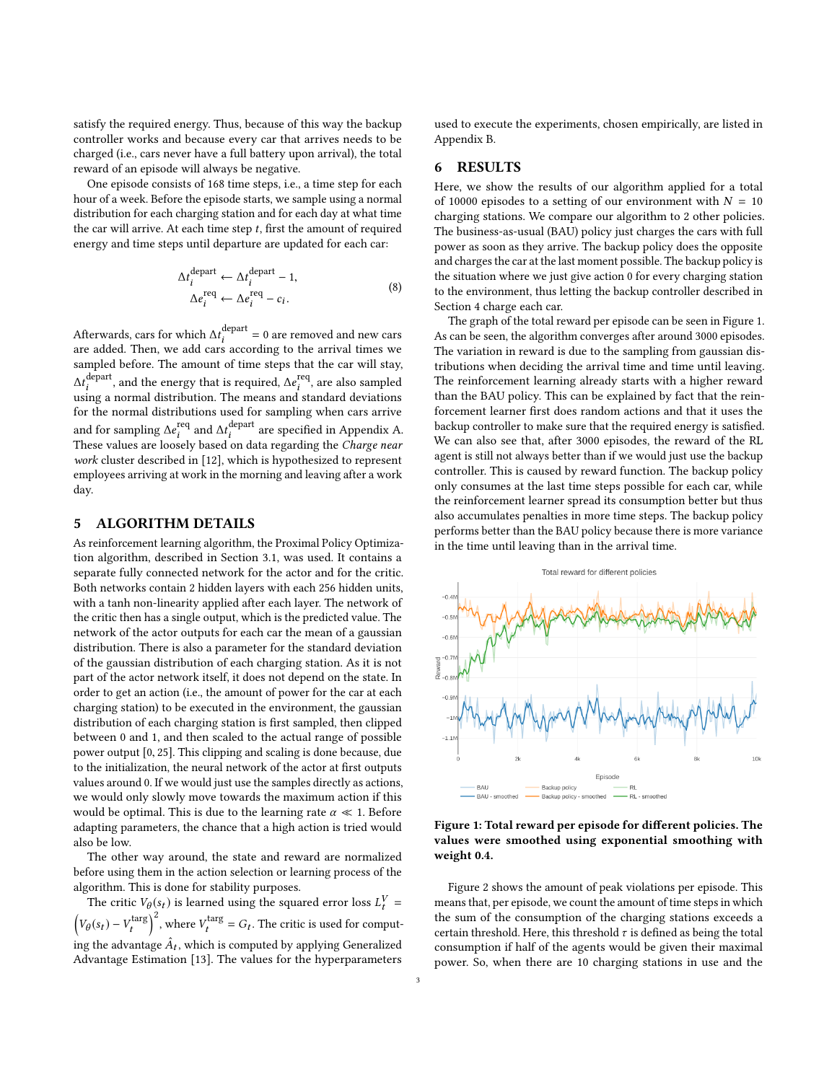satisfy the required energy. Thus, because of this way the backup controller works and because every car that arrives needs to be charged (i.e., cars never have a full battery upon arrival), the total reward of an episode will always be negative.

One episode consists of 168 time steps, i.e., a time step for each hour of a week. Before the episode starts, we sample using a normal distribution for each charging station and for each day at what time the car will arrive. At each time step  $t$ , first the amount of required energy and time steps until departure are updated for each car:

$$
\Delta t_i^{\text{depart}} \leftarrow \Delta t_i^{\text{depart}} - 1,
$$
  
\n
$$
\Delta e_i^{\text{req}} \leftarrow \Delta e_i^{\text{req}} - c_i.
$$
\n(8)

Afterwards, cars for which  $\Delta t_i^{\text{depart}} = 0$  are removed and new cars are added. Then, we add cars according to the arrival times we sampled before. The amount of time steps that the car will stay,  $\Delta t_i^{\text{depart}}$  $\hat{f}_i^{\text{depart}}$ , and the energy that is required,  $\Delta e_i^{\text{req}}$ <br>ing a normal distribution. The means and st i , are also sampled using a normal distribution. The means and standard deviations for the normal distributions used for sampling when cars arrive and for sampling  $\Delta e_i^{\text{req}}$ <br>These values are loosel <sup>req</sup> and  $\Delta t_i^{\text{depart}}$ <br>selv based on da i are specified in Appendix [A.](#page-4-1) These values are loosely based on data regarding the Charge near work cluster described in [\[12\]](#page-3-12), which is hypothesized to represent employees arriving at work in the morning and leaving after a work day.

#### 5 ALGORITHM DETAILS

As reinforcement learning algorithm, the Proximal Policy Optimization algorithm, described in Section [3.1,](#page-1-0) was used. It contains a separate fully connected network for the actor and for the critic. Both networks contain 2 hidden layers with each 256 hidden units, with a tanh non-linearity applied after each layer. The network of the critic then has a single output, which is the predicted value. The network of the actor outputs for each car the mean of a gaussian distribution. There is also a parameter for the standard deviation of the gaussian distribution of each charging station. As it is not part of the actor network itself, it does not depend on the state. In order to get an action (i.e., the amount of power for the car at each charging station) to be executed in the environment, the gaussian distribution of each charging station is first sampled, then clipped between 0 and 1, and then scaled to the actual range of possible power output [0, <sup>25</sup>]. This clipping and scaling is done because, due to the initialization, the neural network of the actor at first outputs values around 0. If we would just use the samples directly as actions, we would only slowly move towards the maximum action if this would be optimal. This is due to the learning rate  $\alpha \ll 1$ . Before adapting parameters, the chance that a high action is tried would also be low.

The other way around, the state and reward are normalized before using them in the action selection or learning process of the algorithm. This is done for stability purposes.

The critic  $V_{\theta}(s_t)$  is learned using the squared error loss  $L_t^V =$  $\left(V_{\theta}(s_t) - V_t^{\text{targ}}\right)^2$ , where  $V_t^{\text{targ}} = G_t$ . The critic is used for computing the advantage  $\hat{A}_t$ , which is computed by applying Generalized Advantage Estimation [\[13\]](#page-3-13). The values for the hyperparameters

used to execute the experiments, chosen empirically, are listed in Appendix [B.](#page-4-2)

# 6 RESULTS

Here, we show the results of our algorithm applied for a total of 10000 episodes to a setting of our environment with  $N = 10$ charging stations. We compare our algorithm to 2 other policies. The business-as-usual (BAU) policy just charges the cars with full power as soon as they arrive. The backup policy does the opposite and charges the car at the last moment possible. The backup policy is the situation where we just give action 0 for every charging station to the environment, thus letting the backup controller described in Section [4](#page-1-1) charge each car.

The graph of the total reward per episode can be seen in Figure [1.](#page-2-0) As can be seen, the algorithm converges after around 3000 episodes. The variation in reward is due to the sampling from gaussian distributions when deciding the arrival time and time until leaving. The reinforcement learning already starts with a higher reward than the BAU policy. This can be explained by fact that the reinforcement learner first does random actions and that it uses the backup controller to make sure that the required energy is satisfied. We can also see that, after 3000 episodes, the reward of the RL agent is still not always better than if we would just use the backup controller. This is caused by reward function. The backup policy only consumes at the last time steps possible for each car, while the reinforcement learner spread its consumption better but thus also accumulates penalties in more time steps. The backup policy performs better than the BAU policy because there is more variance in the time until leaving than in the arrival time.

<span id="page-2-0"></span>

Figure 1: Total reward per episode for different policies. The values were smoothed using exponential smoothing with weight 0.4.

Figure [2](#page-3-14) shows the amount of peak violations per episode. This means that, per episode, we count the amount of time steps in which the sum of the consumption of the charging stations exceeds a certain threshold. Here, this threshold  $\tau$  is defined as being the total consumption if half of the agents would be given their maximal power. So, when there are 10 charging stations in use and the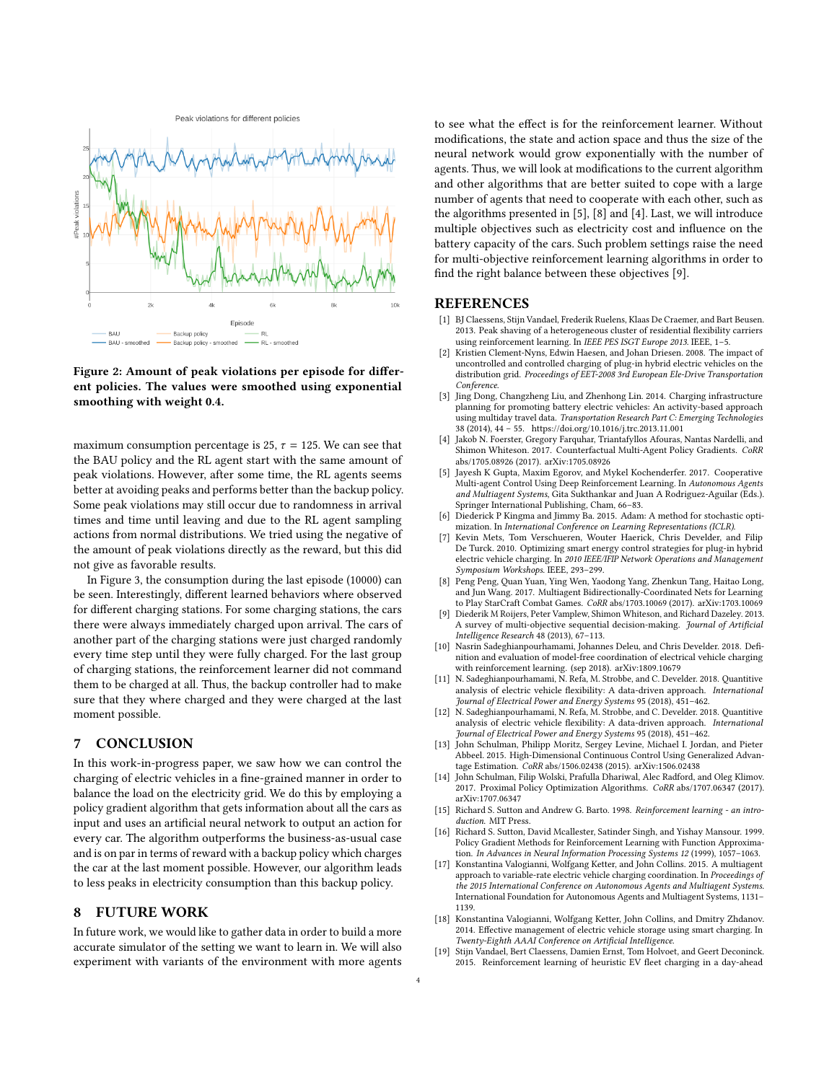<span id="page-3-14"></span>

#### Figure 2: Amount of peak violations per episode for different policies. The values were smoothed using exponential smoothing with weight 0.4.

maximum consumption percentage is 25,  $\tau$  = 125. We can see that the BAU policy and the RL agent start with the same amount of peak violations. However, after some time, the RL agents seems better at avoiding peaks and performs better than the backup policy. Some peak violations may still occur due to randomness in arrival times and time until leaving and due to the RL agent sampling actions from normal distributions. We tried using the negative of the amount of peak violations directly as the reward, but this did not give as favorable results.

In Figure [3,](#page-4-3) the consumption during the last episode (10000) can be seen. Interestingly, different learned behaviors where observed for different charging stations. For some charging stations, the cars there were always immediately charged upon arrival. The cars of another part of the charging stations were just charged randomly every time step until they were fully charged. For the last group of charging stations, the reinforcement learner did not command them to be charged at all. Thus, the backup controller had to make sure that they where charged and they were charged at the last moment possible.

# 7 CONCLUSION

In this work-in-progress paper, we saw how we can control the charging of electric vehicles in a fine-grained manner in order to balance the load on the electricity grid. We do this by employing a policy gradient algorithm that gets information about all the cars as input and uses an artificial neural network to output an action for every car. The algorithm outperforms the business-as-usual case and is on par in terms of reward with a backup policy which charges the car at the last moment possible. However, our algorithm leads to less peaks in electricity consumption than this backup policy.

## 8 FUTURE WORK

In future work, we would like to gather data in order to build a more accurate simulator of the setting we want to learn in. We will also experiment with variants of the environment with more agents to see what the effect is for the reinforcement learner. Without modifications, the state and action space and thus the size of the neural network would grow exponentially with the number of agents. Thus, we will look at modifications to the current algorithm and other algorithms that are better suited to cope with a large number of agents that need to cooperate with each other, such as the algorithms presented in [\[5\]](#page-3-15), [\[8\]](#page-3-16) and [\[4\]](#page-3-17). Last, we will introduce multiple objectives such as electricity cost and influence on the battery capacity of the cars. Such problem settings raise the need for multi-objective reinforcement learning algorithms in order to find the right balance between these objectives [\[9\]](#page-3-18).

#### REFERENCES

- <span id="page-3-5"></span>[1] BJ Claessens, Stijn Vandael, Frederik Ruelens, Klaas De Craemer, and Bart Beusen. 2013. Peak shaving of a heterogeneous cluster of residential flexibility carriers using reinforcement learning. In IEEE PES ISGT Europe 2013. IEEE, 1-5.
- <span id="page-3-2"></span>Kristien Clement-Nyns, Edwin Haesen, and Johan Driesen. 2008. The impact of uncontrolled and controlled charging of plug-in hybrid electric vehicles on the distribution grid. Proceedings of EET-2008 3rd European Ele-Drive Transportation Conference.
- <span id="page-3-0"></span>[3] Jing Dong, Changzheng Liu, and Zhenhong Lin. 2014. Charging infrastructure planning for promoting battery electric vehicles: An activity-based approach using multiday travel data. Transportation Research Part C: Emerging Technologies 38 (2014), 44 – 55.<https://doi.org/10.1016/j.trc.2013.11.001>
- <span id="page-3-17"></span>Jakob N. Foerster, Gregory Farquhar, Triantafyllos Afouras, Nantas Nardelli, and Shimon Whiteson. 2017. Counterfactual Multi-Agent Policy Gradients. CoRR abs/1705.08926 (2017). arXiv[:1705.08926](http://arxiv.org/abs/1705.08926)
- <span id="page-3-15"></span>[5] Jayesh K Gupta, Maxim Egorov, and Mykel Kochenderfer. 2017. Cooperative Multi-agent Control Using Deep Reinforcement Learning. In Autonomous Agents and Multiagent Systems, Gita Sukthankar and Juan A Rodriguez-Aguilar (Eds.). Springer International Publishing, Cham, 66–83.
- <span id="page-3-19"></span>[6] Diederick P Kingma and Jimmy Ba. 2015. Adam: A method for stochastic optimization. In International Conference on Learning Representations (ICLR).
- <span id="page-3-4"></span>[7] Kevin Mets, Tom Verschueren, Wouter Haerick, Chris Develder, and Filip De Turck. 2010. Optimizing smart energy control strategies for plug-in hybrid electric vehicle charging. In 2010 IEEE/IFIP Network Operations and Management Symposium Workshops. IEEE, 293–299.
- <span id="page-3-16"></span>[8] Peng Peng, Quan Yuan, Ying Wen, Yaodong Yang, Zhenkun Tang, Haitao Long, and Jun Wang. 2017. Multiagent Bidirectionally-Coordinated Nets for Learning to Play StarCraft Combat Games. CoRR abs/1703.10069 (2017). arXiv[:1703.10069](http://arxiv.org/abs/1703.10069)
- <span id="page-3-18"></span>[9] Diederik M Roijers, Peter Vamplew, Shimon Whiteson, and Richard Dazeley. 2013. A survey of multi-objective sequential decision-making. Journal of Artificial Intelligence Research 48 (2013), 67–113.
- <span id="page-3-9"></span>[10] Nasrin Sadeghianpourhamami, Johannes Deleu, and Chris Develder. 2018. Definition and evaluation of model-free coordination of electrical vehicle charging with reinforcement learning. (sep 2018). arXiv[:1809.10679](http://arxiv.org/abs/1809.10679)
- <span id="page-3-1"></span>[11] N. Sadeghianpourhamami, N. Refa, M. Strobbe, and C. Develder, 2018. Quantitive analysis of electric vehicle flexibility: A data-driven approach. International Journal of Electrical Power and Energy Systems 95 (2018), 451–462.
- <span id="page-3-12"></span>[12] N. Sadeghianpourhamami, N. Refa, M. Strobbe, and C. Develder. 2018. Quantitive analysis of electric vehicle flexibility: A data-driven approach. International Journal of Electrical Power and Energy Systems 95 (2018), 451–462.
- <span id="page-3-13"></span>[13] John Schulman, Philipp Moritz, Sergey Levine, Michael I. Jordan, and Pieter Abbeel. 2015. High-Dimensional Continuous Control Using Generalized Advantage Estimation. CoRR abs/1506.02438 (2015). arXiv[:1506.02438](http://arxiv.org/abs/1506.02438)
- <span id="page-3-3"></span>[14] John Schulman, Filip Wolski, Prafulla Dhariwal, Alec Radford, and Oleg Klimov. 2017. Proximal Policy Optimization Algorithms. CoRR abs/1707.06347 (2017). arXiv[:1707.06347](http://arxiv.org/abs/1707.06347)
- <span id="page-3-11"></span>[15] Richard S. Sutton and Andrew G. Barto. 1998. Reinforcement learning - an introduction. MIT Press.
- <span id="page-3-10"></span>[16] Richard S. Sutton, David Mcallester, Satinder Singh, and Yishay Mansour. 1999. Policy Gradient Methods for Reinforcement Learning with Function Approximation. In Advances in Neural Information Processing Systems 12 (1999), 1057–1063.
- <span id="page-3-8"></span>[17] Konstantina Valogianni, Wolfgang Ketter, and John Collins. 2015. A multiagent approach to variable-rate electric vehicle charging coordination. In Proceedings of the 2015 International Conference on Autonomous Agents and Multiagent Systems. International Foundation for Autonomous Agents and Multiagent Systems, 1131– 1139.
- <span id="page-3-7"></span>[18] Konstantina Valogianni, Wolfgang Ketter, John Collins, and Dmitry Zhdanov. 2014. Effective management of electric vehicle storage using smart charging. In Twenty-Eighth AAAI Conference on Artificial Intelligence.
- <span id="page-3-6"></span>[19] Stijn Vandael, Bert Claessens, Damien Ernst, Tom Holvoet, and Geert Deconinck 2015. Reinforcement learning of heuristic EV fleet charging in a day-ahead